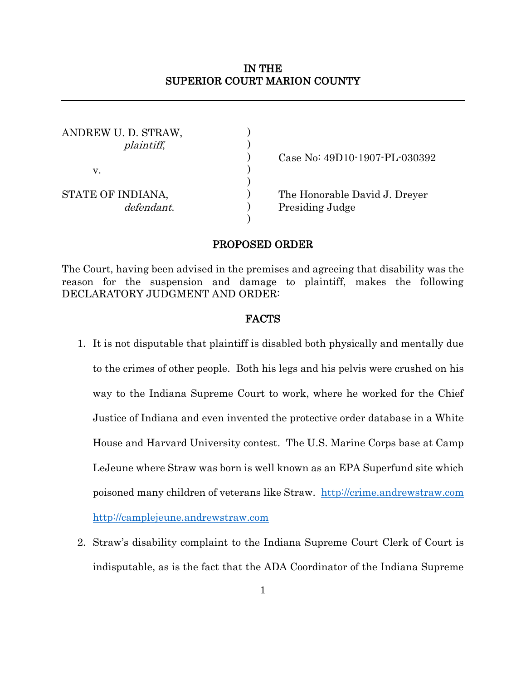# IN THE SUPERIOR COURT MARION COUNTY

| ANDREW U. D. STRAW,<br><i>plaintiff</i> , |  |
|-------------------------------------------|--|
| V.                                        |  |
| STATE OF INDIANA,<br>defendant.           |  |

) Case No: 49D10-1907-PL-030392

The Honorable David J. Dreyer Presiding Judge

### PROPOSED ORDER

)

The Court, having been advised in the premises and agreeing that disability was the reason for the suspension and damage to plaintiff, makes the following DECLARATORY JUDGMENT AND ORDER:

### FACTS

- 1. It is not disputable that plaintiff is disabled both physically and mentally due to the crimes of other people. Both his legs and his pelvis were crushed on his way to the Indiana Supreme Court to work, where he worked for the Chief Justice of Indiana and even invented the protective order database in a White House and Harvard University contest. The U.S. Marine Corps base at Camp LeJeune where Straw was born is well known as an EPA Superfund site which poisoned many children of veterans like Straw. [http://crime.andrewstraw.com](http://crime.andrewstraw.com/) [http://camplejeune.andrewstraw.com](http://camplejeune.andrewstraw.com/)
- 2. Straw's disability complaint to the Indiana Supreme Court Clerk of Court is indisputable, as is the fact that the ADA Coordinator of the Indiana Supreme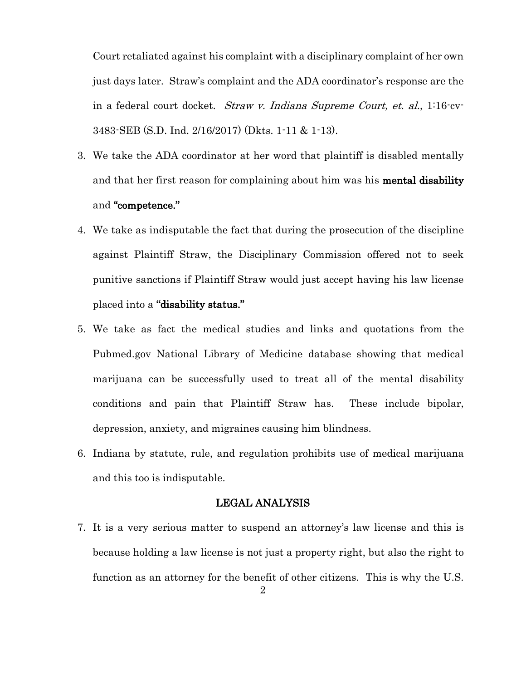Court retaliated against his complaint with a disciplinary complaint of her own just days later. Straw's complaint and the ADA coordinator's response are the in a federal court docket. *Straw v. Indiana Supreme Court, et. al.*, 1:16-cv-3483-SEB (S.D. Ind. 2/16/2017) (Dkts. 1-11 & 1-13).

- 3. We take the ADA coordinator at her word that plaintiff is disabled mentally and that her first reason for complaining about him was his **mental disability** and "competence."
- 4. We take as indisputable the fact that during the prosecution of the discipline against Plaintiff Straw, the Disciplinary Commission offered not to seek punitive sanctions if Plaintiff Straw would just accept having his law license placed into a "disability status."
- 5. We take as fact the medical studies and links and quotations from the Pubmed.gov National Library of Medicine database showing that medical marijuana can be successfully used to treat all of the mental disability conditions and pain that Plaintiff Straw has. These include bipolar, depression, anxiety, and migraines causing him blindness.
- 6. Indiana by statute, rule, and regulation prohibits use of medical marijuana and this too is indisputable.

### LEGAL ANALYSIS

7. It is a very serious matter to suspend an attorney's law license and this is because holding a law license is not just a property right, but also the right to function as an attorney for the benefit of other citizens. This is why the U.S.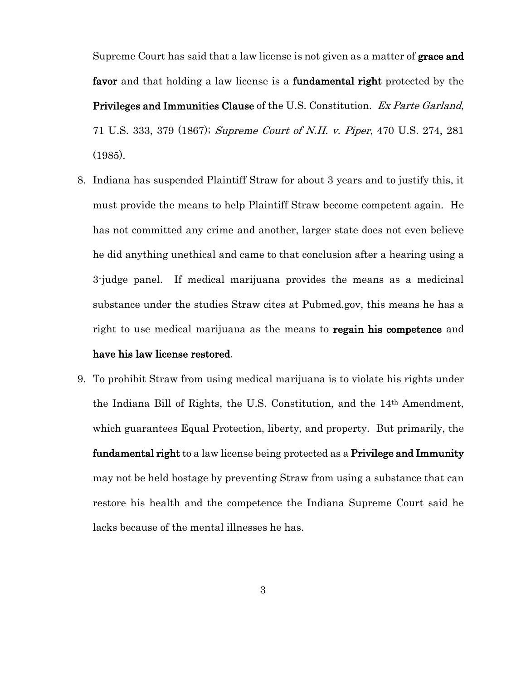Supreme Court has said that a law license is not given as a matter of **grace and** favor and that holding a law license is a fundamental right protected by the Privileges and Immunities Clause of the U.S. Constitution. Ex Parte Garland, 71 U.S. 333, 379 (1867); Supreme Court of N.H. v. Piper, 470 U.S. 274, 281 (1985).

- 8. Indiana has suspended Plaintiff Straw for about 3 years and to justify this, it must provide the means to help Plaintiff Straw become competent again. He has not committed any crime and another, larger state does not even believe he did anything unethical and came to that conclusion after a hearing using a 3-judge panel. If medical marijuana provides the means as a medicinal substance under the studies Straw cites at Pubmed.gov, this means he has a right to use medical marijuana as the means to **regain his competence** and have his law license restored.
- 9. To prohibit Straw from using medical marijuana is to violate his rights under the Indiana Bill of Rights, the U.S. Constitution, and the 14th Amendment, which guarantees Equal Protection, liberty, and property. But primarily, the fundamental right to a law license being protected as a Privilege and Immunity may not be held hostage by preventing Straw from using a substance that can restore his health and the competence the Indiana Supreme Court said he lacks because of the mental illnesses he has.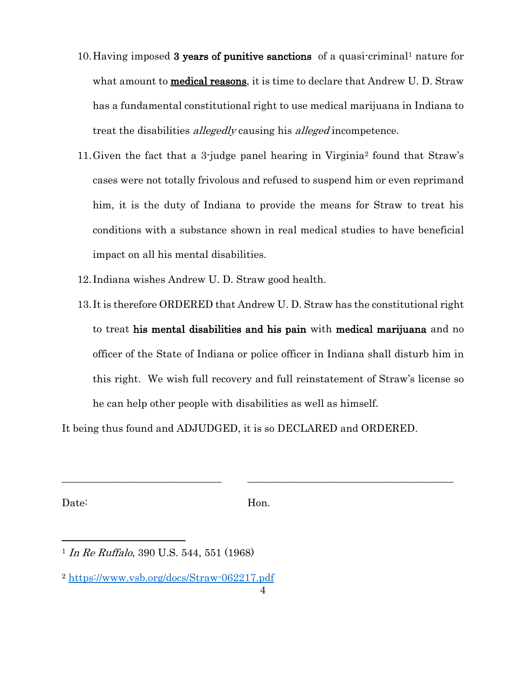- 10.Having imposed 3 years of punitive sanctions of a quasi-criminal<sup>1</sup> nature for what amount to **medical reasons**, it is time to declare that Andrew U. D. Straw has a fundamental constitutional right to use medical marijuana in Indiana to treat the disabilities *allegedly* causing his *alleged* incompetence.
- 11.Given the fact that a 3-judge panel hearing in Virginia<sup>2</sup> found that Straw's cases were not totally frivolous and refused to suspend him or even reprimand him, it is the duty of Indiana to provide the means for Straw to treat his conditions with a substance shown in real medical studies to have beneficial impact on all his mental disabilities.
- 12.Indiana wishes Andrew U. D. Straw good health.
- 13.It is therefore ORDERED that Andrew U. D. Straw has the constitutional right to treat his mental disabilities and his pain with medical marijuana and no officer of the State of Indiana or police officer in Indiana shall disturb him in this right. We wish full recovery and full reinstatement of Straw's license so he can help other people with disabilities as well as himself.

It being thus found and ADJUDGED, it is so DECLARED and ORDERED.

Date: Hon.

\_\_\_\_\_\_\_\_\_\_\_\_\_\_\_\_\_\_\_\_\_\_\_\_\_\_\_\_\_\_\_ \_\_\_\_\_\_\_\_\_\_\_\_\_\_\_\_\_\_\_\_\_\_\_\_\_\_\_\_\_\_\_\_\_\_\_\_\_\_\_\_

<sup>&</sup>lt;sup>1</sup> In Re Ruffalo, 390 U.S. 544, 551 (1968)

<sup>2</sup> <https://www.vsb.org/docs/Straw-062217.pdf>